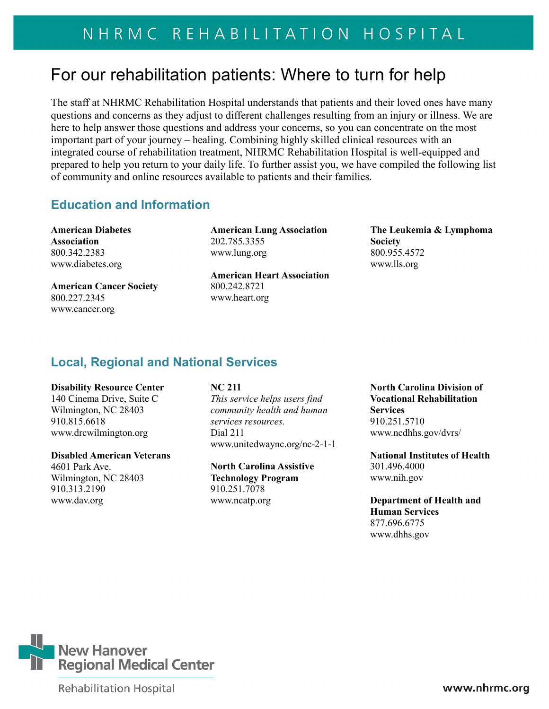# For our rehabilitation patients: Where to turn for help

The staff at NHRMC Rehabilitation Hospital understands that patients and their loved ones have many questions and concerns as they adjust to different challenges resulting from an injury or illness. We are here to help answer those questions and address your concerns, so you can concentrate on the most important part of your journey – healing. Combining highly skilled clinical resources with an integrated course of rehabilitation treatment, NHRMC Rehabilitation Hospital is well-equipped and prepared to help you return to your daily life. To further assist you, we have compiled the following list of community and online resources available to patients and their families.

## **Education and Information**

**American Diabetes Association**  800.342.2383 www.diabetes.org

**American Cancer Society**  800.227.2345 [www.cancer.org](http://www.cancer.org/) 

**American Lung Association**  202.785.3355 [www.lung.org](http://www.lung.org/) 

**American Heart Association**  800.242.8721 [www.heart.org](http://www.heart.org/) 

**[The Leukemia & Lymphoma](http://search.yahoo.com/r/_ylt=A0oG7lq_YVtQ7ncAnGtXNyoA;_ylu=X3oDMTEyMGFldW9yBHNlYwNzcgRwb3MDMQRjb2xvA2FjMgR2dGlkA0RGUjVfNzg-/SIG=117l7d7qn/EXP=1348194879/**http%3a/www.lls.org/)  [Society](http://search.yahoo.com/r/_ylt=A0oG7lq_YVtQ7ncAnGtXNyoA;_ylu=X3oDMTEyMGFldW9yBHNlYwNzcgRwb3MDMQRjb2xvA2FjMgR2dGlkA0RGUjVfNzg-/SIG=117l7d7qn/EXP=1348194879/**http%3a/www.lls.org/)** 800.955.4572 [www.lls.org](http://www.lls.org/) 

# **Local, Regional and National Services**

### **Disability Resource Center**

140 Cinema Drive, Suite C Wilmington, NC 28403 910.815.6618 www.drcwilmington.org

### **Disabled American Veterans**

4601 Park Ave. Wilmington, NC 28403 910.313.2190 [www.dav.org](http://www.dav.org/)

## **NC 211**

*This service helps users find community health and human services resources.* Dial 211 [www.unitedwaync.org/nc-2-1-1](http://www.unitedwaync.org/nc-2-1-1)

**North Carolina Assistive Technology Program** 910.251.7078 [www.ncatp.org](http://www.ncatp.org/)

**North Carolina Division of Vocational Rehabilitation Services** 910.251.5710 www.ncdhhs.gov/dvrs/

**National Institutes of Health** 301.496.4000 [www.nih.gov](http://www.nih.gov/)

**Department of Health and Human Services** 877.696.6775 www.dhhs.gov



**Rehabilitation Hospital**